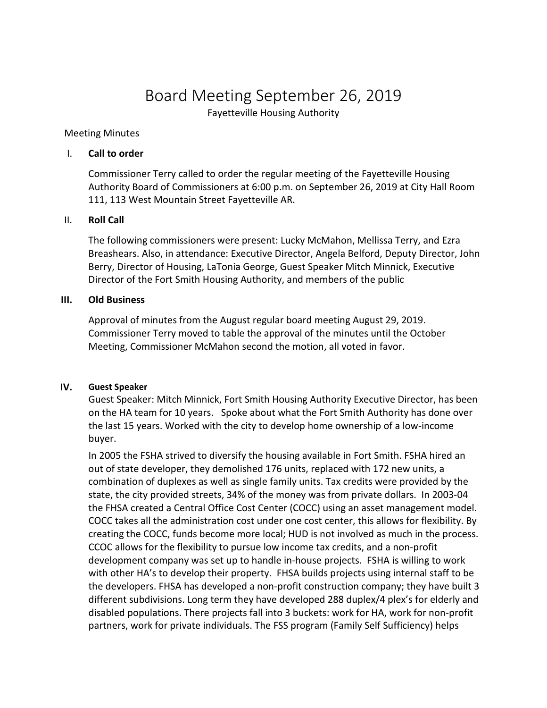# Board Meeting September 26, 2019

Fayetteville Housing Authority

#### Meeting Minutes

## I. **Call to order**

Commissioner Terry called to order the regular meeting of the Fayetteville Housing Authority Board of Commissioners at 6:00 p.m. on September 26, 2019 at City Hall Room 111, 113 West Mountain Street Fayetteville AR.

# II. **Roll Call**

The following commissioners were present: Lucky McMahon, Mellissa Terry, and Ezra Breashears. Also, in attendance: Executive Director, Angela Belford, Deputy Director, John Berry, Director of Housing, LaTonia George, Guest Speaker Mitch Minnick, Executive Director of the Fort Smith Housing Authority, and members of the public

## **III. Old Business**

Approval of minutes from the August regular board meeting August 29, 2019. Commissioner Terry moved to table the approval of the minutes until the October Meeting, Commissioner McMahon second the motion, all voted in favor.

#### **IV. Guest Speaker**

Guest Speaker: Mitch Minnick, Fort Smith Housing Authority Executive Director, has been on the HA team for 10 years. Spoke about what the Fort Smith Authority has done over the last 15 years. Worked with the city to develop home ownership of a low-income buyer.

In 2005 the FSHA strived to diversify the housing available in Fort Smith. FSHA hired an out of state developer, they demolished 176 units, replaced with 172 new units, a combination of duplexes as well as single family units. Tax credits were provided by the state, the city provided streets, 34% of the money was from private dollars. In 2003-04 the FHSA created a Central Office Cost Center (COCC) using an asset management model. COCC takes all the administration cost under one cost center, this allows for flexibility. By creating the COCC, funds become more local; HUD is not involved as much in the process. CCOC allows for the flexibility to pursue low income tax credits, and a non-profit development company was set up to handle in-house projects. FSHA is willing to work with other HA's to develop their property. FHSA builds projects using internal staff to be the developers. FHSA has developed a non-profit construction company; they have built 3 different subdivisions. Long term they have developed 288 duplex/4 plex's for elderly and disabled populations. There projects fall into 3 buckets: work for HA, work for non-profit partners, work for private individuals. The FSS program (Family Self Sufficiency) helps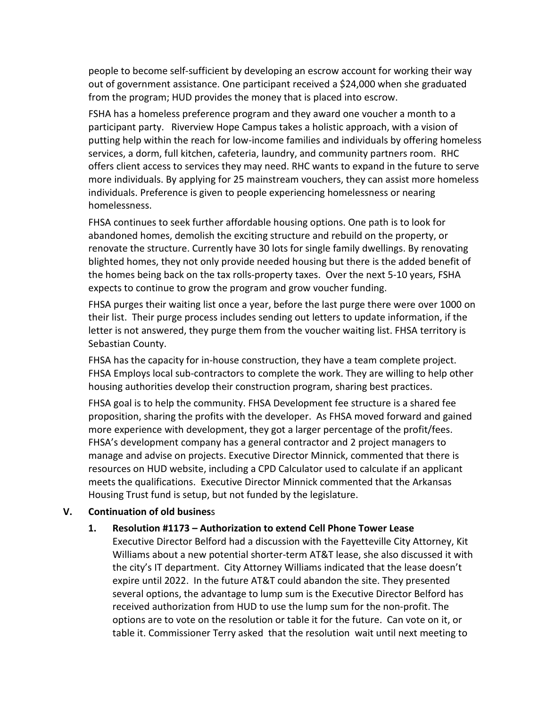people to become self-sufficient by developing an escrow account for working their way out of government assistance. One participant received a \$24,000 when she graduated from the program; HUD provides the money that is placed into escrow.

FSHA has a homeless preference program and they award one voucher a month to a participant party. Riverview Hope Campus takes a holistic approach, with a vision of putting help within the reach for low-income families and individuals by offering homeless services, a dorm, full kitchen, cafeteria, laundry, and community partners room. RHC offers client access to services they may need. RHC wants to expand in the future to serve more individuals. By applying for 25 mainstream vouchers, they can assist more homeless individuals. Preference is given to people experiencing homelessness or nearing homelessness.

FHSA continues to seek further affordable housing options. One path is to look for abandoned homes, demolish the exciting structure and rebuild on the property, or renovate the structure. Currently have 30 lots for single family dwellings. By renovating blighted homes, they not only provide needed housing but there is the added benefit of the homes being back on the tax rolls-property taxes. Over the next 5-10 years, FSHA expects to continue to grow the program and grow voucher funding.

FHSA purges their waiting list once a year, before the last purge there were over 1000 on their list. Their purge process includes sending out letters to update information, if the letter is not answered, they purge them from the voucher waiting list. FHSA territory is Sebastian County.

FHSA has the capacity for in-house construction, they have a team complete project. FHSA Employs local sub-contractors to complete the work. They are willing to help other housing authorities develop their construction program, sharing best practices.

FHSA goal is to help the community. FHSA Development fee structure is a shared fee proposition, sharing the profits with the developer. As FHSA moved forward and gained more experience with development, they got a larger percentage of the profit/fees. FHSA's development company has a general contractor and 2 project managers to manage and advise on projects. Executive Director Minnick, commented that there is resources on HUD website, including a CPD Calculator used to calculate if an applicant meets the qualifications. Executive Director Minnick commented that the Arkansas Housing Trust fund is setup, but not funded by the legislature.

# **V. Continuation of old busines**s

# **1. Resolution #1173 – Authorization to extend Cell Phone Tower Lease**

Executive Director Belford had a discussion with the Fayetteville City Attorney, Kit Williams about a new potential shorter-term AT&T lease, she also discussed it with the city's IT department. City Attorney Williams indicated that the lease doesn't expire until 2022. In the future AT&T could abandon the site. They presented several options, the advantage to lump sum is the Executive Director Belford has received authorization from HUD to use the lump sum for the non-profit. The options are to vote on the resolution or table it for the future. Can vote on it, or table it. Commissioner Terry asked that the resolution wait until next meeting to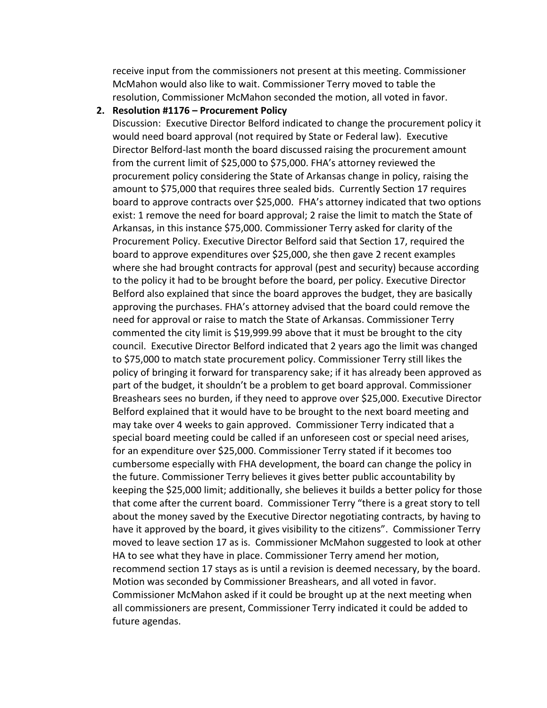receive input from the commissioners not present at this meeting. Commissioner McMahon would also like to wait. Commissioner Terry moved to table the resolution, Commissioner McMahon seconded the motion, all voted in favor.

#### **2. Resolution #1176 – Procurement Policy**

Discussion: Executive Director Belford indicated to change the procurement policy it would need board approval (not required by State or Federal law). Executive Director Belford-last month the board discussed raising the procurement amount from the current limit of \$25,000 to \$75,000. FHA's attorney reviewed the procurement policy considering the State of Arkansas change in policy, raising the amount to \$75,000 that requires three sealed bids. Currently Section 17 requires board to approve contracts over \$25,000. FHA's attorney indicated that two options exist: 1 remove the need for board approval; 2 raise the limit to match the State of Arkansas, in this instance \$75,000. Commissioner Terry asked for clarity of the Procurement Policy. Executive Director Belford said that Section 17, required the board to approve expenditures over \$25,000, she then gave 2 recent examples where she had brought contracts for approval (pest and security) because according to the policy it had to be brought before the board, per policy. Executive Director Belford also explained that since the board approves the budget, they are basically approving the purchases. FHA's attorney advised that the board could remove the need for approval or raise to match the State of Arkansas. Commissioner Terry commented the city limit is \$19,999.99 above that it must be brought to the city council. Executive Director Belford indicated that 2 years ago the limit was changed to \$75,000 to match state procurement policy. Commissioner Terry still likes the policy of bringing it forward for transparency sake; if it has already been approved as part of the budget, it shouldn't be a problem to get board approval. Commissioner Breashears sees no burden, if they need to approve over \$25,000. Executive Director Belford explained that it would have to be brought to the next board meeting and may take over 4 weeks to gain approved. Commissioner Terry indicated that a special board meeting could be called if an unforeseen cost or special need arises, for an expenditure over \$25,000. Commissioner Terry stated if it becomes too cumbersome especially with FHA development, the board can change the policy in the future. Commissioner Terry believes it gives better public accountability by keeping the \$25,000 limit; additionally, she believes it builds a better policy for those that come after the current board. Commissioner Terry "there is a great story to tell about the money saved by the Executive Director negotiating contracts, by having to have it approved by the board, it gives visibility to the citizens". Commissioner Terry moved to leave section 17 as is. Commissioner McMahon suggested to look at other HA to see what they have in place. Commissioner Terry amend her motion, recommend section 17 stays as is until a revision is deemed necessary, by the board. Motion was seconded by Commissioner Breashears, and all voted in favor. Commissioner McMahon asked if it could be brought up at the next meeting when all commissioners are present, Commissioner Terry indicated it could be added to future agendas.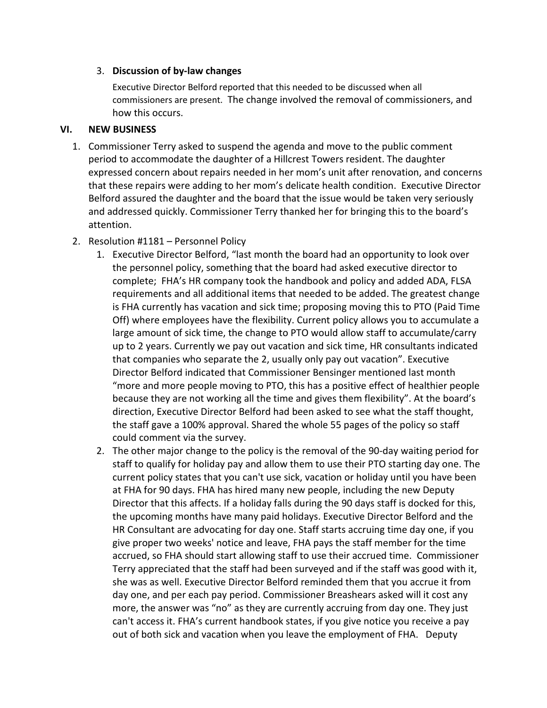# 3. **Discussion of by-law changes**

Executive Director Belford reported that this needed to be discussed when all commissioners are present. The change involved the removal of commissioners, and how this occurs.

# **VI. NEW BUSINESS**

- 1. Commissioner Terry asked to suspend the agenda and move to the public comment period to accommodate the daughter of a Hillcrest Towers resident. The daughter expressed concern about repairs needed in her mom's unit after renovation, and concerns that these repairs were adding to her mom's delicate health condition. Executive Director Belford assured the daughter and the board that the issue would be taken very seriously and addressed quickly. Commissioner Terry thanked her for bringing this to the board's attention.
- 2. Resolution #1181 Personnel Policy
	- 1. Executive Director Belford, "last month the board had an opportunity to look over the personnel policy, something that the board had asked executive director to complete; FHA's HR company took the handbook and policy and added ADA, FLSA requirements and all additional items that needed to be added. The greatest change is FHA currently has vacation and sick time; proposing moving this to PTO (Paid Time Off) where employees have the flexibility. Current policy allows you to accumulate a large amount of sick time, the change to PTO would allow staff to accumulate/carry up to 2 years. Currently we pay out vacation and sick time, HR consultants indicated that companies who separate the 2, usually only pay out vacation". Executive Director Belford indicated that Commissioner Bensinger mentioned last month "more and more people moving to PTO, this has a positive effect of healthier people because they are not working all the time and gives them flexibility". At the board's direction, Executive Director Belford had been asked to see what the staff thought, the staff gave a 100% approval. Shared the whole 55 pages of the policy so staff could comment via the survey.
	- 2. The other major change to the policy is the removal of the 90-day waiting period for staff to qualify for holiday pay and allow them to use their PTO starting day one. The current policy states that you can't use sick, vacation or holiday until you have been at FHA for 90 days. FHA has hired many new people, including the new Deputy Director that this affects. If a holiday falls during the 90 days staff is docked for this, the upcoming months have many paid holidays. Executive Director Belford and the HR Consultant are advocating for day one. Staff starts accruing time day one, if you give proper two weeks' notice and leave, FHA pays the staff member for the time accrued, so FHA should start allowing staff to use their accrued time. Commissioner Terry appreciated that the staff had been surveyed and if the staff was good with it, she was as well. Executive Director Belford reminded them that you accrue it from day one, and per each pay period. Commissioner Breashears asked will it cost any more, the answer was "no" as they are currently accruing from day one. They just can't access it. FHA's current handbook states, if you give notice you receive a pay out of both sick and vacation when you leave the employment of FHA. Deputy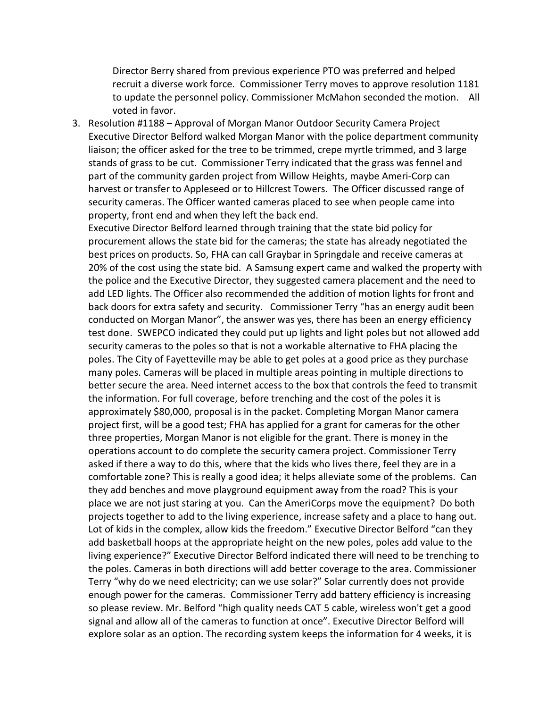Director Berry shared from previous experience PTO was preferred and helped recruit a diverse work force. Commissioner Terry moves to approve resolution 1181 to update the personnel policy. Commissioner McMahon seconded the motion. All voted in favor.

3. Resolution #1188 – Approval of Morgan Manor Outdoor Security Camera Project Executive Director Belford walked Morgan Manor with the police department community liaison; the officer asked for the tree to be trimmed, crepe myrtle trimmed, and 3 large stands of grass to be cut. Commissioner Terry indicated that the grass was fennel and part of the community garden project from Willow Heights, maybe Ameri-Corp can harvest or transfer to Appleseed or to Hillcrest Towers. The Officer discussed range of security cameras. The Officer wanted cameras placed to see when people came into property, front end and when they left the back end.

Executive Director Belford learned through training that the state bid policy for procurement allows the state bid for the cameras; the state has already negotiated the best prices on products. So, FHA can call Graybar in Springdale and receive cameras at 20% of the cost using the state bid. A Samsung expert came and walked the property with the police and the Executive Director, they suggested camera placement and the need to add LED lights. The Officer also recommended the addition of motion lights for front and back doors for extra safety and security. Commissioner Terry "has an energy audit been conducted on Morgan Manor", the answer was yes, there has been an energy efficiency test done. SWEPCO indicated they could put up lights and light poles but not allowed add security cameras to the poles so that is not a workable alternative to FHA placing the poles. The City of Fayetteville may be able to get poles at a good price as they purchase many poles. Cameras will be placed in multiple areas pointing in multiple directions to better secure the area. Need internet access to the box that controls the feed to transmit the information. For full coverage, before trenching and the cost of the poles it is approximately \$80,000, proposal is in the packet. Completing Morgan Manor camera project first, will be a good test; FHA has applied for a grant for cameras for the other three properties, Morgan Manor is not eligible for the grant. There is money in the operations account to do complete the security camera project. Commissioner Terry asked if there a way to do this, where that the kids who lives there, feel they are in a comfortable zone? This is really a good idea; it helps alleviate some of the problems. Can they add benches and move playground equipment away from the road? This is your place we are not just staring at you. Can the AmeriCorps move the equipment? Do both projects together to add to the living experience, increase safety and a place to hang out. Lot of kids in the complex, allow kids the freedom." Executive Director Belford "can they add basketball hoops at the appropriate height on the new poles, poles add value to the living experience?" Executive Director Belford indicated there will need to be trenching to the poles. Cameras in both directions will add better coverage to the area. Commissioner Terry "why do we need electricity; can we use solar?" Solar currently does not provide enough power for the cameras. Commissioner Terry add battery efficiency is increasing so please review. Mr. Belford "high quality needs CAT 5 cable, wireless won't get a good signal and allow all of the cameras to function at once". Executive Director Belford will explore solar as an option. The recording system keeps the information for 4 weeks, it is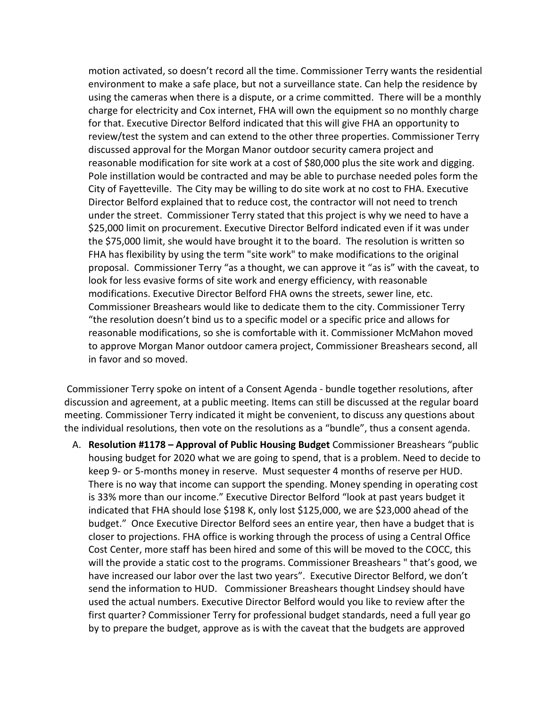motion activated, so doesn't record all the time. Commissioner Terry wants the residential environment to make a safe place, but not a surveillance state. Can help the residence by using the cameras when there is a dispute, or a crime committed. There will be a monthly charge for electricity and Cox internet, FHA will own the equipment so no monthly charge for that. Executive Director Belford indicated that this will give FHA an opportunity to review/test the system and can extend to the other three properties. Commissioner Terry discussed approval for the Morgan Manor outdoor security camera project and reasonable modification for site work at a cost of \$80,000 plus the site work and digging. Pole instillation would be contracted and may be able to purchase needed poles form the City of Fayetteville. The City may be willing to do site work at no cost to FHA. Executive Director Belford explained that to reduce cost, the contractor will not need to trench under the street. Commissioner Terry stated that this project is why we need to have a \$25,000 limit on procurement. Executive Director Belford indicated even if it was under the \$75,000 limit, she would have brought it to the board. The resolution is written so FHA has flexibility by using the term "site work" to make modifications to the original proposal. Commissioner Terry "as a thought, we can approve it "as is" with the caveat, to look for less evasive forms of site work and energy efficiency, with reasonable modifications. Executive Director Belford FHA owns the streets, sewer line, etc. Commissioner Breashears would like to dedicate them to the city. Commissioner Terry "the resolution doesn't bind us to a specific model or a specific price and allows for reasonable modifications, so she is comfortable with it. Commissioner McMahon moved to approve Morgan Manor outdoor camera project, Commissioner Breashears second, all in favor and so moved.

Commissioner Terry spoke on intent of a Consent Agenda - bundle together resolutions, after discussion and agreement, at a public meeting. Items can still be discussed at the regular board meeting. Commissioner Terry indicated it might be convenient, to discuss any questions about the individual resolutions, then vote on the resolutions as a "bundle", thus a consent agenda.

A. **Resolution #1178 – Approval of Public Housing Budget** Commissioner Breashears "public housing budget for 2020 what we are going to spend, that is a problem. Need to decide to keep 9- or 5-months money in reserve. Must sequester 4 months of reserve per HUD. There is no way that income can support the spending. Money spending in operating cost is 33% more than our income." Executive Director Belford "look at past years budget it indicated that FHA should lose \$198 K, only lost \$125,000, we are \$23,000 ahead of the budget." Once Executive Director Belford sees an entire year, then have a budget that is closer to projections. FHA office is working through the process of using a Central Office Cost Center, more staff has been hired and some of this will be moved to the COCC, this will the provide a static cost to the programs. Commissioner Breashears " that's good, we have increased our labor over the last two years". Executive Director Belford, we don't send the information to HUD. Commissioner Breashears thought Lindsey should have used the actual numbers. Executive Director Belford would you like to review after the first quarter? Commissioner Terry for professional budget standards, need a full year go by to prepare the budget, approve as is with the caveat that the budgets are approved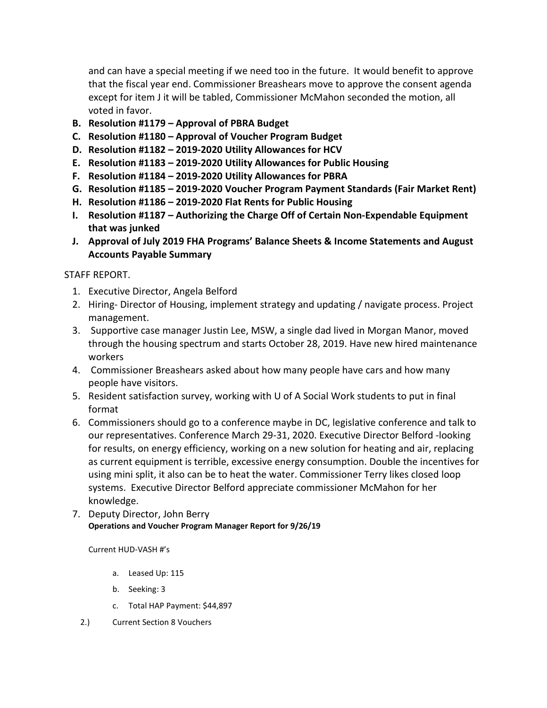and can have a special meeting if we need too in the future. It would benefit to approve that the fiscal year end. Commissioner Breashears move to approve the consent agenda except for item J it will be tabled, Commissioner McMahon seconded the motion, all voted in favor.

- **B. Resolution #1179 – Approval of PBRA Budget**
- **C. Resolution #1180 – Approval of Voucher Program Budget**
- **D. Resolution #1182 – 2019-2020 Utility Allowances for HCV**
- **E. Resolution #1183 – 2019-2020 Utility Allowances for Public Housing**
- **F. Resolution #1184 – 2019-2020 Utility Allowances for PBRA**
- **G. Resolution #1185 – 2019-2020 Voucher Program Payment Standards (Fair Market Rent)**
- **H. Resolution #1186 – 2019-2020 Flat Rents for Public Housing**
- **I. Resolution #1187 – Authorizing the Charge Off of Certain Non-Expendable Equipment that was junked**
- **J. Approval of July 2019 FHA Programs' Balance Sheets & Income Statements and August Accounts Payable Summary**

# STAFF REPORT.

- 1. Executive Director, Angela Belford
- 2. Hiring- Director of Housing, implement strategy and updating / navigate process. Project management.
- 3. Supportive case manager Justin Lee, MSW, a single dad lived in Morgan Manor, moved through the housing spectrum and starts October 28, 2019. Have new hired maintenance workers
- 4. Commissioner Breashears asked about how many people have cars and how many people have visitors.
- 5. Resident satisfaction survey, working with U of A Social Work students to put in final format
- 6. Commissioners should go to a conference maybe in DC, legislative conference and talk to our representatives. Conference March 29-31, 2020. Executive Director Belford -looking for results, on energy efficiency, working on a new solution for heating and air, replacing as current equipment is terrible, excessive energy consumption. Double the incentives for using mini split, it also can be to heat the water. Commissioner Terry likes closed loop systems. Executive Director Belford appreciate commissioner McMahon for her knowledge.
- 7. Deputy Director, John Berry **Operations and Voucher Program Manager Report for 9/26/19**

# Current HUD-VASH #'s

- a. Leased Up: 115
- b. Seeking: 3
- c. Total HAP Payment: \$44,897
- 2.) Current Section 8 Vouchers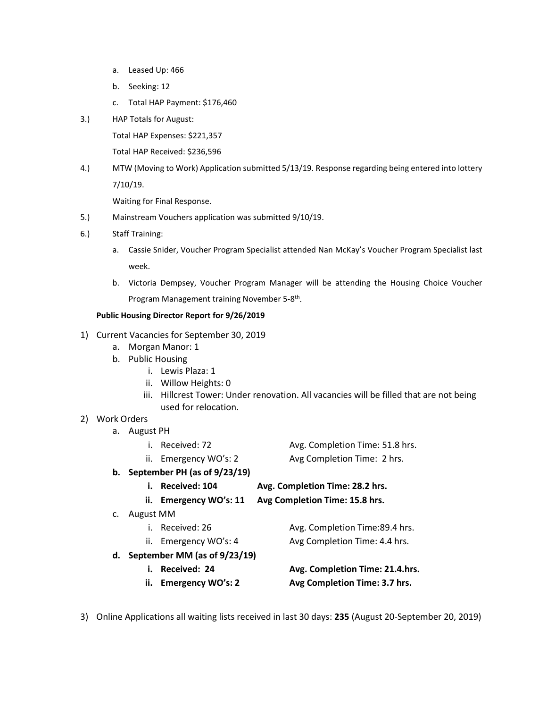- a. Leased Up: 466
- b. Seeking: 12
- c. Total HAP Payment: \$176,460
- 3.) HAP Totals for August:

Total HAP Expenses: \$221,357

Total HAP Received: \$236,596

4.) MTW (Moving to Work) Application submitted 5/13/19. Response regarding being entered into lottery 7/10/19.

Waiting for Final Response.

- 5.) Mainstream Vouchers application was submitted 9/10/19.
- 6.) Staff Training:
	- a. Cassie Snider, Voucher Program Specialist attended Nan McKay's Voucher Program Specialist last week.
	- b. Victoria Dempsey, Voucher Program Manager will be attending the Housing Choice Voucher Program Management training November 5-8th.

#### **Public Housing Director Report for 9/26/2019**

- 1) Current Vacancies for September 30, 2019
	- a. Morgan Manor: 1
	- b. Public Housing
		- i. Lewis Plaza: 1
		- ii. Willow Heights: 0
		- iii. Hillcrest Tower: Under renovation. All vacancies will be filled that are not being used for relocation.

#### 2) Work Orders

- a. August PH
- i. Received: 72 Avg. Completion Time: 51.8 hrs. ii. Emergency WO's: 2 Avg Completion Time: 2 hrs. **b. September PH (as of 9/23/19)**
	- **i. Received: 104 Avg. Completion Time: 28.2 hrs. ii. Emergency WO's: 11 Avg Completion Time: 15.8 hrs.**
- c. August MM
	- i. Received: 26 Avg. Completion Time: 89.4 hrs. ii. Emergency WO's: 4 Avg Completion Time: 4.4 hrs.
- **d. September MM (as of 9/23/19)**
	-
	-
	- **i. Received: 24 Avg. Completion Time: 21.4.hrs. ii. Emergency WO's: 2 Avg Completion Time: 3.7 hrs.**
- 3) Online Applications all waiting lists received in last 30 days: **235** (August 20-September 20, 2019)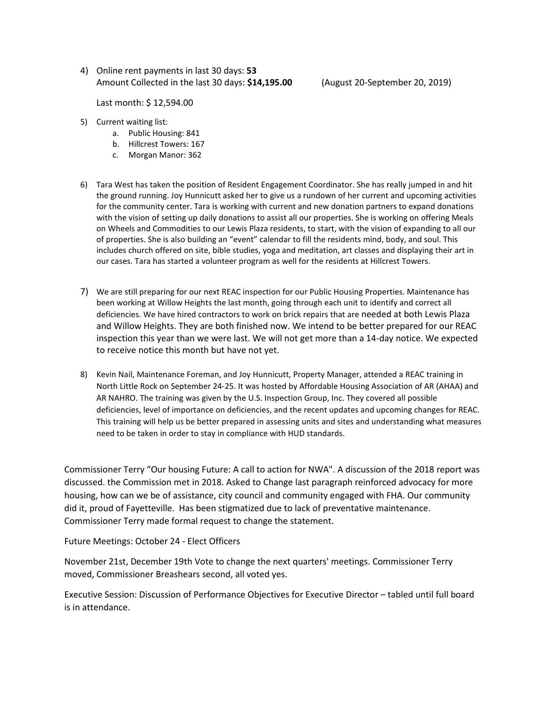4) Online rent payments in last 30 days: **53** Amount Collected in the last 30 days: **\$14,195.00** (August 20-September 20, 2019)

Last month: \$ 12,594.00

- 5) Current waiting list:
	- a. Public Housing: 841
	- b. Hillcrest Towers: 167
	- c. Morgan Manor: 362
- 6) Tara West has taken the position of Resident Engagement Coordinator. She has really jumped in and hit the ground running. Joy Hunnicutt asked her to give us a rundown of her current and upcoming activities for the community center. Tara is working with current and new donation partners to expand donations with the vision of setting up daily donations to assist all our properties. She is working on offering Meals on Wheels and Commodities to our Lewis Plaza residents, to start, with the vision of expanding to all our of properties. She is also building an "event" calendar to fill the residents mind, body, and soul. This includes church offered on site, bible studies, yoga and meditation, art classes and displaying their art in our cases. Tara has started a volunteer program as well for the residents at Hillcrest Towers.
- 7) We are still preparing for our next REAC inspection for our Public Housing Properties. Maintenance has been working at Willow Heights the last month, going through each unit to identify and correct all deficiencies. We have hired contractors to work on brick repairs that are needed at both Lewis Plaza and Willow Heights. They are both finished now. We intend to be better prepared for our REAC inspection this year than we were last. We will not get more than a 14-day notice. We expected to receive notice this month but have not yet.
- 8) Kevin Nail, Maintenance Foreman, and Joy Hunnicutt, Property Manager, attended a REAC training in North Little Rock on September 24-25. It was hosted by Affordable Housing Association of AR (AHAA) and AR NAHRO. The training was given by the U.S. Inspection Group, Inc. They covered all possible deficiencies, level of importance on deficiencies, and the recent updates and upcoming changes for REAC. This training will help us be better prepared in assessing units and sites and understanding what measures need to be taken in order to stay in compliance with HUD standards.

Commissioner Terry "Our housing Future: A call to action for NWA". A discussion of the 2018 report was discussed. the Commission met in 2018. Asked to Change last paragraph reinforced advocacy for more housing, how can we be of assistance, city council and community engaged with FHA. Our community did it, proud of Fayetteville. Has been stigmatized due to lack of preventative maintenance. Commissioner Terry made formal request to change the statement.

Future Meetings: October 24 - Elect Officers

November 21st, December 19th Vote to change the next quarters' meetings. Commissioner Terry moved, Commissioner Breashears second, all voted yes.

Executive Session: Discussion of Performance Objectives for Executive Director – tabled until full board is in attendance.